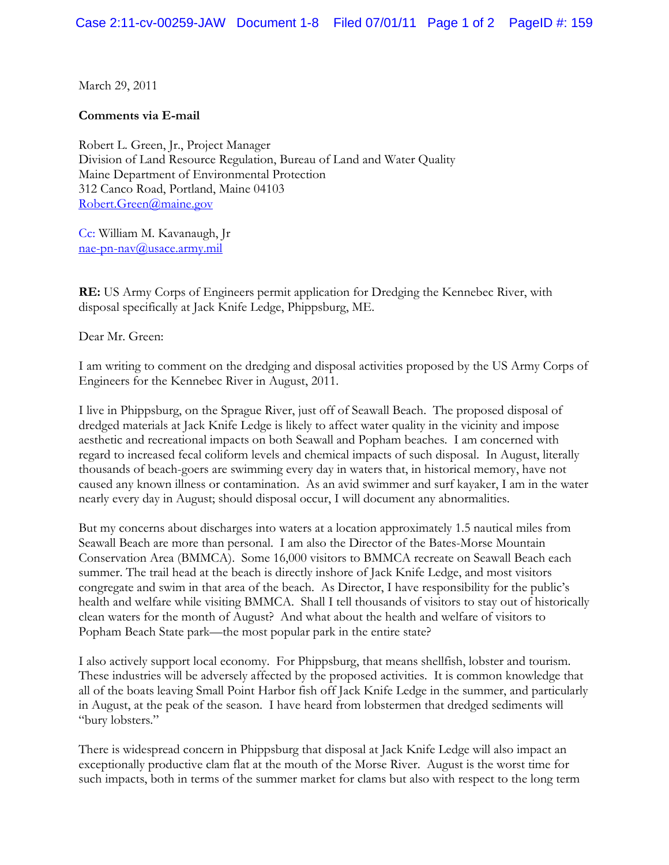March 29, 2011

## **Comments via E-mail**

Robert L. Green, Jr., Project Manager Division of Land Resource Regulation, Bureau of Land and Water Quality Maine Department of Environmental Protection 312 Canco Road, Portland, Maine 04103 [Robert.Green@maine.gov](mailto:Robert.Green@maine.gov)

Cc: William M. Kavanaugh, Jr [nae-pn-nav@usace.army.mil](mailto:nae-pn-nav@usace.army.mil)

**RE:** US Army Corps of Engineers permit application for Dredging the Kennebec River, with disposal specifically at Jack Knife Ledge, Phippsburg, ME.

Dear Mr. Green:

I am writing to comment on the dredging and disposal activities proposed by the US Army Corps of Engineers for the Kennebec River in August, 2011.

I live in Phippsburg, on the Sprague River, just off of Seawall Beach. The proposed disposal of dredged materials at Jack Knife Ledge is likely to affect water quality in the vicinity and impose aesthetic and recreational impacts on both Seawall and Popham beaches. I am concerned with regard to increased fecal coliform levels and chemical impacts of such disposal. In August, literally thousands of beach-goers are swimming every day in waters that, in historical memory, have not caused any known illness or contamination. As an avid swimmer and surf kayaker, I am in the water nearly every day in August; should disposal occur, I will document any abnormalities.

But my concerns about discharges into waters at a location approximately 1.5 nautical miles from Seawall Beach are more than personal. I am also the Director of the Bates-Morse Mountain Conservation Area (BMMCA). Some 16,000 visitors to BMMCA recreate on Seawall Beach each summer. The trail head at the beach is directly inshore of Jack Knife Ledge, and most visitors congregate and swim in that area of the beach. As Director, I have responsibility for the public's health and welfare while visiting BMMCA. Shall I tell thousands of visitors to stay out of historically clean waters for the month of August? And what about the health and welfare of visitors to Popham Beach State park—the most popular park in the entire state?

I also actively support local economy. For Phippsburg, that means shellfish, lobster and tourism. These industries will be adversely affected by the proposed activities. It is common knowledge that all of the boats leaving Small Point Harbor fish off Jack Knife Ledge in the summer, and particularly in August, at the peak of the season. I have heard from lobstermen that dredged sediments will "bury lobsters."

There is widespread concern in Phippsburg that disposal at Jack Knife Ledge will also impact an exceptionally productive clam flat at the mouth of the Morse River. August is the worst time for such impacts, both in terms of the summer market for clams but also with respect to the long term